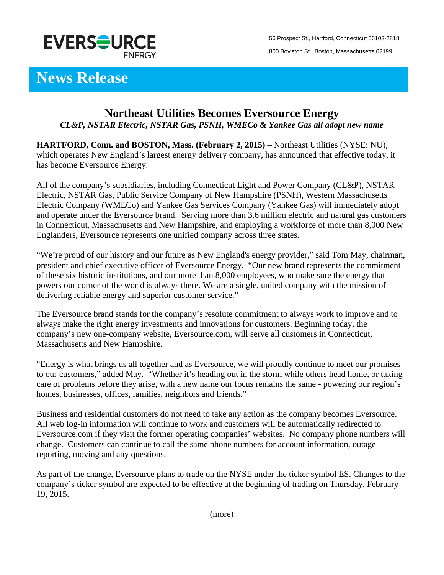

56 Prospect St., Hartford, Connecticut 06103-2818 800 Boylston St., Boston, Massachusetts 02199

## **News Release**

## **Northeast Utilities Becomes Eversource Energy**  *CL&P, NSTAR Electric, NSTAR Gas, PSNH, WMECo & Yankee Gas all adopt new name*

**HARTFORD, Conn. and BOSTON, Mass. (February 2, 2015)** – Northeast Utilities (NYSE: NU), which operates New England's largest energy delivery company, has announced that effective today, it has become Eversource Energy.

All of the company's subsidiaries, including Connecticut Light and Power Company (CL&P), NSTAR Electric, NSTAR Gas, Public Service Company of New Hampshire (PSNH), Western Massachusetts Electric Company (WMECo) and Yankee Gas Services Company (Yankee Gas) will immediately adopt and operate under the Eversource brand. Serving more than 3.6 million electric and natural gas customers in Connecticut, Massachusetts and New Hampshire, and employing a workforce of more than 8,000 New Englanders, Eversource represents one unified company across three states.

"We're proud of our history and our future as New England's energy provider," said Tom May, chairman, president and chief executive officer of Eversource Energy. "Our new brand represents the commitment of these six historic institutions, and our more than 8,000 employees, who make sure the energy that powers our corner of the world is always there. We are a single, united company with the mission of delivering reliable energy and superior customer service."

The Eversource brand stands for the company's resolute commitment to always work to improve and to always make the right energy investments and innovations for customers. Beginning today, the company's new one-company website, Eversource.com, will serve all customers in Connecticut, Massachusetts and New Hampshire.

"Energy is what brings us all together and as Eversource, we will proudly continue to meet our promises to our customers," added May. "Whether it's heading out in the storm while others head home, or taking care of problems before they arise, with a new name our focus remains the same - powering our region's homes, businesses, offices, families, neighbors and friends."

Business and residential customers do not need to take any action as the company becomes Eversource. All web log-in information will continue to work and customers will be automatically redirected to Eversource.com if they visit the former operating companies' websites. No company phone numbers will change. Customers can continue to call the same phone numbers for account information, outage reporting, moving and any questions.

As part of the change, Eversource plans to trade on the NYSE under the ticker symbol ES. Changes to the company's ticker symbol are expected to be effective at the beginning of trading on Thursday, February 19, 2015.